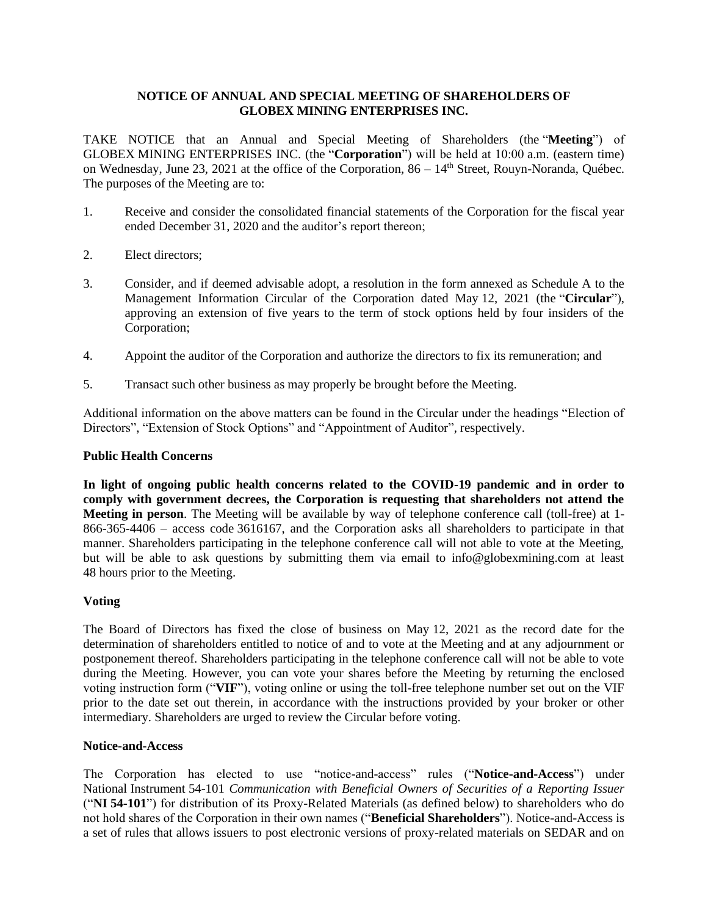# **NOTICE OF ANNUAL AND SPECIAL MEETING OF SHAREHOLDERS OF GLOBEX MINING ENTERPRISES INC.**

TAKE NOTICE that an Annual and Special Meeting of Shareholders (the "**Meeting**") of GLOBEX MINING ENTERPRISES INC. (the "**Corporation**") will be held at 10:00 a.m. (eastern time) on Wednesday, June 23, 2021 at the office of the Corporation,  $86 - 14<sup>th</sup>$  Street, Rouyn-Noranda, Québec. The purposes of the Meeting are to:

- 1. Receive and consider the consolidated financial statements of the Corporation for the fiscal year ended December 31, 2020 and the auditor's report thereon;
- 2. Elect directors;
- 3. Consider, and if deemed advisable adopt, a resolution in the form annexed as Schedule A to the Management Information Circular of the Corporation dated May 12, 2021 (the "**Circular**"), approving an extension of five years to the term of stock options held by four insiders of the Corporation;
- 4. Appoint the auditor of the Corporation and authorize the directors to fix its remuneration; and
- 5. Transact such other business as may properly be brought before the Meeting.

Additional information on the above matters can be found in the Circular under the headings "Election of Directors", "Extension of Stock Options" and "Appointment of Auditor", respectively.

### **Public Health Concerns**

**In light of ongoing public health concerns related to the COVID-19 pandemic and in order to comply with government decrees, the Corporation is requesting that shareholders not attend the Meeting in person**. The Meeting will be available by way of telephone conference call (toll-free) at 1- 866-365-4406 – access code 3616167, and the Corporation asks all shareholders to participate in that manner. Shareholders participating in the telephone conference call will not able to vote at the Meeting, but will be able to ask questions by submitting them via email to info@globexmining.com at least 48 hours prior to the Meeting.

## **Voting**

The Board of Directors has fixed the close of business on May 12, 2021 as the record date for the determination of shareholders entitled to notice of and to vote at the Meeting and at any adjournment or postponement thereof. Shareholders participating in the telephone conference call will not be able to vote during the Meeting. However, you can vote your shares before the Meeting by returning the enclosed voting instruction form ("**VIF**"), voting online or using the toll-free telephone number set out on the VIF prior to the date set out therein, in accordance with the instructions provided by your broker or other intermediary. Shareholders are urged to review the Circular before voting.

### **Notice-and-Access**

The Corporation has elected to use "notice-and-access" rules ("**Notice-and-Access**") under National Instrument 54-101 *Communication with Beneficial Owners of Securities of a Reporting Issuer* ("**NI 54-101**") for distribution of its Proxy-Related Materials (as defined below) to shareholders who do not hold shares of the Corporation in their own names ("**Beneficial Shareholders**"). Notice-and-Access is a set of rules that allows issuers to post electronic versions of proxy-related materials on SEDAR and on